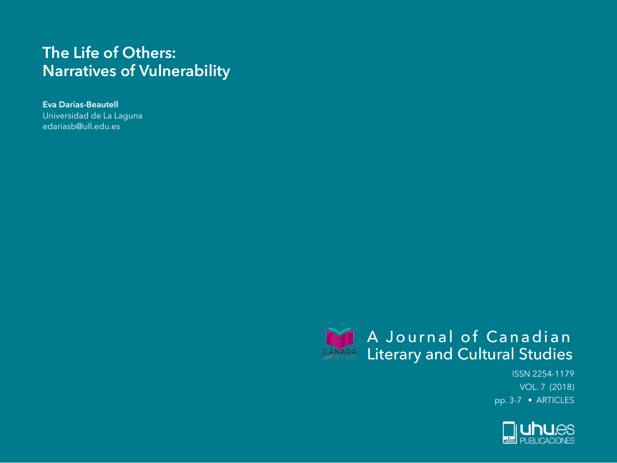# **The Life of Others: Narratives of Vulnerability**

**Eva Darias-Beautell** Universidad de La Laguna edariasb@ull.edu.es



ISSN 2254-1179 VOL. 7 (2018) pp. 3-7 • ARTICLES

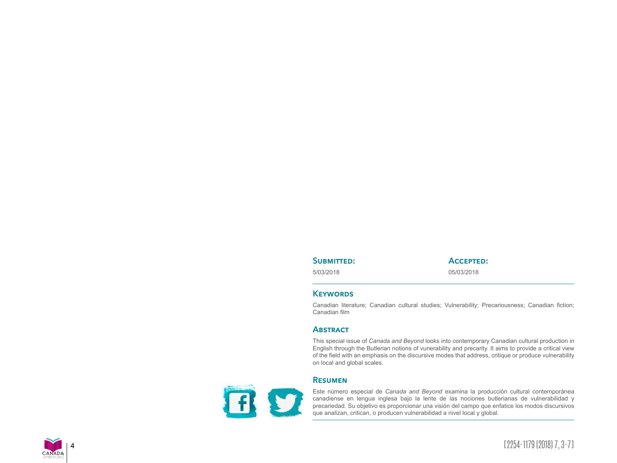## SUBMITTED:

5/03/2018

**Accepted:**

05/03/2018

# **Keywords**

Canadian literature; Canadian cultural studies; Vulnerability; Precariousness; Canadian fiction; Canadian film

# **Abstract**

This special issue of *Canada and Beyond* looks into contemporary Canadian cultural production in English through the Butlerian notions of vunerability and precarity. It aims to provide a critical view of the field with an emphasis on the discursive modes that address, critique or produce vulnerability on local and global scales.

D E

## **Resumen**

Este número especial de *Canada and Beyond* examina la producción cultural contemporánea canadiense en lengua inglesa bajo la lente de las nociones butlerianas de vulnerabilidad y precariedad. Su objetivo es proporcionar una visión del campo que enfatice los modos discursivos que analizan, critican, o producen vulnerabilidad a nivel local y global.

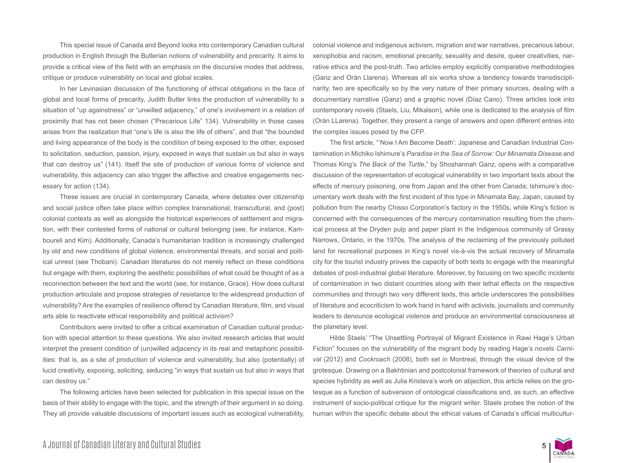This special issue of Canada and Beyond looks into contemporary Canadian cultural production in English through the Butlerian notions of vulnerability and precarity. It aims to provide a critical view of the field with an emphasis on the discursive modes that address, critique or produce vulnerability on local and global scales.

In her Levinasian discussion of the functioning of ethical obligations in the face of global and local forms of precarity, Judith Butler links the production of vulnerability to a situation of "up againstness" or "unwilled adjacency," of one's involvement in a relation of proximity that has not been chosen ("Precarious Life" 134). Vulnerability in those cases arises from the realization that "one's life is also the life of others", and that "the bounded and living appearance of the body is the condition of being exposed to the other, exposed to solicitation, seduction, passion, injury, exposed in ways that sustain us but also in ways that can destroy us" (141). Itself the site of production of various forms of violence and vulnerability, this adjacency can also trigger the affective and creative engagements necessary for action (134).

These issues are crucial in contemporary Canada, where debates over citizenship and social justice often take place within complex transnational, transcultural, and (post) colonial contexts as well as alongside the historical experiences of settlement and migration, with their contested forms of national or cultural belonging (see, for instance, Kamboureli and Kim). Additionally, Canada's humanitarian tradition is increasingly challenged by old and new conditions of global violence, environmental threats, and social and political unrest (see Thobani). Canadian literatures do not merely reflect on these conditions but engage with them, exploring the aesthetic possibilities of what could be thought of as a reconnection between the text and the world (see, for instance, Grace). How does cultural production articulate and propose strategies of resistance to the widespread production of vulnerability? Are the examples of resilience offered by Canadian literature, film, and visual arts able to reactivate ethical responsibility and political activism?

Contributors were invited to offer a critical examination of Canadian cultural production with special attention to these questions. We also invited research articles that would interpret the present condition of (un)willed adjacency in its real and metaphoric possibilities: that is, as a site of production of violence and vulnerability, but also (potentially) of lucid creativity, exposing, soliciting, seducing "in ways that sustain us but also in ways that can destroy us."

The following articles have been selected for publication in this special issue on the basis of their ability to engage with the topic, and the strength of their argument in so doing. They all provide valuable discussions of important issues such as ecological vulnerability,

colonial violence and indigenous activism, migration and war narratives, precarious labour, xenophobia and racism, emotional precarity, sexuality and desire, queer creativities, narrative ethics and the post-truth. Two articles employ explicitly comparative methodologies (Ganz and Orán Llarena). Whereas all six works show a tendency towards transdisciplinarity, two are specifically so by the very nature of their primary sources, dealing with a documentary narrative (Ganz) and a graphic novel (Díaz Cano). Three articles look into contemporary novels (Staels, Liu, Mikalson), while one is dedicated to the analysis of film (Orán LLarena). Together, they present a range of answers and open different entries into the complex issues posed by the CFP.

The first article, "'Now I Am Become Death': Japanese and Canadian Industrial Contamination in Michiko Ishimure's *Paradise in the Sea of Sorrow: Our Minamata Disease* and Thomas King's *The Back of the Turtle*," by Shoshannah Ganz, opens with a comparative discussion of the representation of ecological vulnerability in two important texts about the effects of mercury poisoning, one from Japan and the other from Canada; Ishimure's documentary work deals with the first incident of this type in Minamata Bay, Japan, caused by pollution from the nearby Chisso Corporation's factory in the 1950s, while King's fiction is concerned with the consequences of the mercury contamination resulting from the chemical process at the Dryden pulp and paper plant in the Indigenous community of Grassy Narrows, Ontario, in the 1970s. The analysis of the reclaiming of the previously polluted land for recreational purposes in King's novel vis-à-vis the actual recovery of Minamata city for the tourist industry proves the capacity of both texts to engage with the meaningful debates of post-industrial global literature. Moreover, by focusing on two specific incidents of contamination in two distant countries along with their lethal effects on the respective communities and through two very different texts, this article underscores the possibilities of literature and ecocriticism to work hand in hand with activists, journalists and community leaders to denounce ecological violence and produce an environmental consciousness at the planetary level.

Hilde Staels' "The Unsettling Portrayal of Migrant Existence in Rawi Hage's Urban Fiction" focuses on the vulnerability of the migrant body by reading Hage's novels *Carnival* (2012) and *Cockroach* (2008), both set in Montreal, through the visual device of the grotesque. Drawing on a Bakhtinian and postcolonial framework of theories of cultural and species hybridity as well as Julia Kristeva's work on abjection, this article relies on the grotesque as a function of subversion of ontological classifications and, as such, an effective instrument of socio-political critique for the migrant writer. Staels probes the notion of the human within the specific debate about the ethical values of Canada's official multicultur-

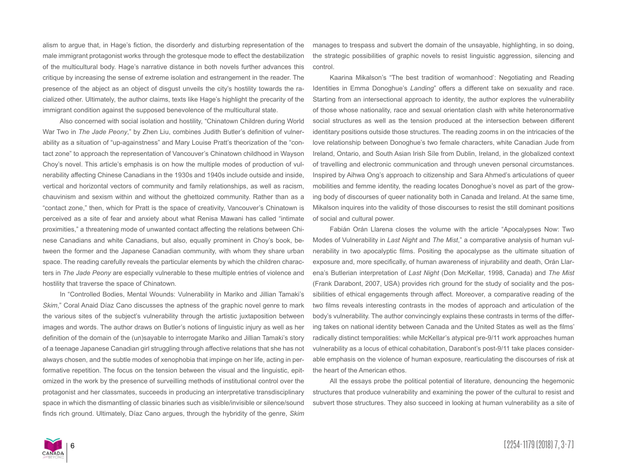alism to argue that, in Hage's fiction, the disorderly and disturbing representation of the male immigrant protagonist works through the grotesque mode to effect the destabilization of the multicultural body. Hage's narrative distance in both novels further advances this critique by increasing the sense of extreme isolation and estrangement in the reader. The presence of the abject as an object of disgust unveils the city's hostility towards the racialized other. Ultimately, the author claims, texts like Hage's highlight the precarity of the immigrant condition against the supposed benevolence of the multicultural state.

Also concerned with social isolation and hostility, "Chinatown Children during World War Two in *The Jade Peony*," by Zhen Liu, combines Judith Butler's definition of vulnerability as a situation of "up-againstness" and Mary Louise Pratt's theorization of the "contact zone" to approach the representation of Vancouver's Chinatown childhood in Wayson Choy's novel. This article's emphasis is on how the multiple modes of production of vulnerability affecting Chinese Canadians in the 1930s and 1940s include outside and inside, vertical and horizontal vectors of community and family relationships, as well as racism, chauvinism and sexism within and without the ghettoized community. Rather than as a "contact zone," then, which for Pratt is the space of creativity, Vancouver's Chinatown is perceived as a site of fear and anxiety about what Renisa Mawani has called "intimate proximities," a threatening mode of unwanted contact affecting the relations between Chinese Canadians and white Canadians, but also, equally prominent in Choy's book, between the former and the Japanese Canadian community, with whom they share urban space. The reading carefully reveals the particular elements by which the children characters in *The Jade Peony* are especially vulnerable to these multiple entries of violence and hostility that traverse the space of Chinatown.

In "Controlled Bodies, Mental Wounds: Vulnerability in Mariko and Jillian Tamaki's *Skim*," Coral Anaid Díaz Cano discusses the aptness of the graphic novel genre to mark the various sites of the subject's vulnerability through the artistic juxtaposition between images and words. The author draws on Butler's notions of linguistic injury as well as her definition of the domain of the (un)sayable to interrogate Mariko and Jillian Tamaki's story of a teenage Japanese Canadian girl struggling through affective relations that she has not always chosen, and the subtle modes of xenophobia that impinge on her life, acting in performative repetition. The focus on the tension between the visual and the linguistic, epitomized in the work by the presence of surveilling methods of institutional control over the protagonist and her classmates, succeeds in producing an interpretative transdisciplinary space in which the dismantling of classic binaries such as visible/invisible or silence/sound finds rich ground. Ultimately, Díaz Cano argues, through the hybridity of the genre, *Skim* manages to trespass and subvert the domain of the unsayable, highlighting, in so doing, the strategic possibilities of graphic novels to resist linguistic aggression, silencing and control.

Kaarina Mikalson's "The best tradition of womanhood': Negotiating and Reading Identities in Emma Donoghue's *Landing*" offers a different take on sexuality and race. Starting from an intersectional approach to identity, the author explores the vulnerability of those whose nationality, race and sexual orientation clash with white heteronormative social structures as well as the tension produced at the intersection between different identitary positions outside those structures. The reading zooms in on the intricacies of the love relationship between Donoghue's two female characters, white Canadian Jude from Ireland, Ontario, and South Asian Irish Síle from Dublin, Ireland, in the globalized context of travelling and electronic communication and through uneven personal circumstances. Inspired by Aihwa Ong's approach to citizenship and Sara Ahmed's articulations of queer mobilities and femme identity, the reading locates Donoghue's novel as part of the growing body of discourses of queer nationality both in Canada and Ireland. At the same time, Mikalson inquires into the validity of those discourses to resist the still dominant positions of social and cultural power.

Fabián Orán Llarena closes the volume with the article "Apocalypses Now: Two Modes of Vulnerability in *Last Night* and *The Mist*," a comparative analysis of human vulnerability in two apocalyptic films. Positing the apocalypse as the ultimate situation of exposure and, more specifically, of human awareness of injurability and death, Orán Llarena's Butlerian interpretation of *Last Night* (Don McKellar, 1998, Canada) and *The Mist* (Frank Darabont, 2007, USA) provides rich ground for the study of sociality and the possibilities of ethical engagements through affect. Moreover, a comparative reading of the two films reveals interesting contrasts in the modes of approach and articulation of the body's vulnerability. The author convincingly explains these contrasts in terms of the differing takes on national identity between Canada and the United States as well as the films' radically distinct temporalities: while McKellar's atypical pre-9/11 work approaches human vulnerability as a locus of ethical cohabitation, Darabont's post-9/11 take places considerable emphasis on the violence of human exposure, rearticulating the discourses of risk at the heart of the American ethos.

All the essays probe the political potential of literature, denouncing the hegemonic structures that produce vulnerability and examining the power of the cultural to resist and subvert those structures. They also succeed in looking at human vulnerability as a site of